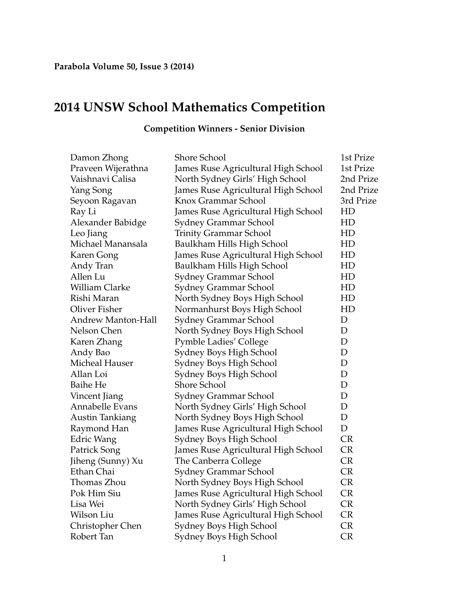## **2014 UNSW School Mathematics Competition**

| Damon Zhong               | Shore School                        | 1st Prize |
|---------------------------|-------------------------------------|-----------|
| Praveen Wijerathna        | James Ruse Agricultural High School | 1st Prize |
| Vaishnavi Calisa          | North Sydney Girls' High School     | 2nd Prize |
| Yang Song                 | James Ruse Agricultural High School | 2nd Prize |
| Seyoon Ragavan            | Knox Grammar School                 | 3rd Prize |
| Ray Li                    | James Ruse Agricultural High School | HD        |
| Alexander Babidge         | Sydney Grammar School               | HD        |
| Leo Jiang                 | <b>Trinity Grammar School</b>       | HD        |
| Michael Manansala         | Baulkham Hills High School          | HD        |
| Karen Gong                | James Ruse Agricultural High School | HD        |
| Andy Tran                 | Baulkham Hills High School          | HD        |
| Allen Lu                  | Sydney Grammar School               | HD        |
| <b>William Clarke</b>     | Sydney Grammar School               | HD        |
| Rishi Maran               | North Sydney Boys High School       | HD        |
| <b>Oliver Fisher</b>      | Normanhurst Boys High School        | HD        |
| <b>Andrew Manton-Hall</b> | Sydney Grammar School               | D         |
| Nelson Chen               | North Sydney Boys High School       | D         |
| Karen Zhang               | <b>Pymble Ladies' College</b>       | D         |
| Andy Bao                  | Sydney Boys High School             | D         |
| Micheal Hauser            | Sydney Boys High School             | D         |
| Allan Loi                 | Sydney Boys High School             | D         |
| <b>Baihe He</b>           | <b>Shore School</b>                 | D         |
| Vincent Jiang             | Sydney Grammar School               | D         |
| Annabelle Evans           | North Sydney Girls' High School     | D         |
| <b>Austin Tankiang</b>    | North Sydney Boys High School       | D         |
| Raymond Han               | James Ruse Agricultural High School | D         |
| <b>Edric Wang</b>         | Sydney Boys High School             | <b>CR</b> |
| Patrick Song              | James Ruse Agricultural High School | <b>CR</b> |
| Jiheng (Sunny) Xu         | The Canberra College                | <b>CR</b> |
| Ethan Chai                | Sydney Grammar School               | <b>CR</b> |
| Thomas Zhou               | North Sydney Boys High School       | <b>CR</b> |
| Pok Him Siu               | James Ruse Agricultural High School | <b>CR</b> |
| Lisa Wei                  | North Sydney Girls' High School     | <b>CR</b> |
| Wilson Liu                | James Ruse Agricultural High School | <b>CR</b> |
| Christopher Chen          | Sydney Boys High School             | <b>CR</b> |
| Robert Tan                | Sydney Boys High School             | <b>CR</b> |

## **Competition Winners - Senior Division**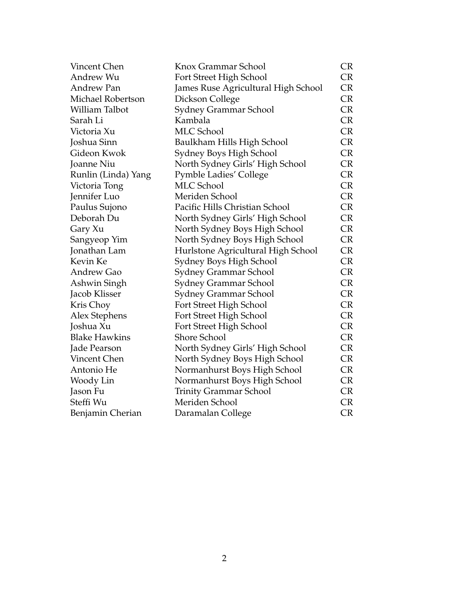| Vincent Chen         | Knox Grammar School                 | <b>CR</b> |
|----------------------|-------------------------------------|-----------|
| Andrew Wu            | Fort Street High School             | <b>CR</b> |
| <b>Andrew Pan</b>    | James Ruse Agricultural High School | <b>CR</b> |
| Michael Robertson    | Dickson College                     | <b>CR</b> |
| William Talbot       | <b>Sydney Grammar School</b>        | <b>CR</b> |
| Sarah Li             | Kambala                             | <b>CR</b> |
| Victoria Xu          | <b>MLC School</b>                   | <b>CR</b> |
| Joshua Sinn          | Baulkham Hills High School          | <b>CR</b> |
| Gideon Kwok          | Sydney Boys High School             | <b>CR</b> |
| Joanne Niu           | North Sydney Girls' High School     | <b>CR</b> |
| Runlin (Linda) Yang  | <b>Pymble Ladies' College</b>       | CR        |
| Victoria Tong        | <b>MLC</b> School                   | CR        |
| Jennifer Luo         | Meriden School                      | <b>CR</b> |
| Paulus Sujono        | Pacific Hills Christian School      | <b>CR</b> |
| Deborah Du           | North Sydney Girls' High School     | <b>CR</b> |
| Gary Xu              | North Sydney Boys High School       | <b>CR</b> |
| Sangyeop Yim         | North Sydney Boys High School       | <b>CR</b> |
| Jonathan Lam         | Hurlstone Agricultural High School  | CR        |
| Kevin Ke             | Sydney Boys High School             | CR        |
| <b>Andrew Gao</b>    | <b>Sydney Grammar School</b>        | <b>CR</b> |
| Ashwin Singh         | Sydney Grammar School               | CR        |
| Jacob Klisser        | Sydney Grammar School               | <b>CR</b> |
| Kris Choy            | Fort Street High School             | <b>CR</b> |
| Alex Stephens        | Fort Street High School             | <b>CR</b> |
| Joshua Xu            | Fort Street High School             | <b>CR</b> |
| <b>Blake Hawkins</b> | Shore School                        | <b>CR</b> |
| Jade Pearson         | North Sydney Girls' High School     | CR        |
| Vincent Chen         | North Sydney Boys High School       | <b>CR</b> |
| Antonio He           | Normanhurst Boys High School        | <b>CR</b> |
| Woody Lin            | Normanhurst Boys High School        | <b>CR</b> |
| Jason Fu             | <b>Trinity Grammar School</b>       | <b>CR</b> |
| Steffi Wu            | Meriden School                      | <b>CR</b> |
| Benjamin Cherian     | Daramalan College                   | <b>CR</b> |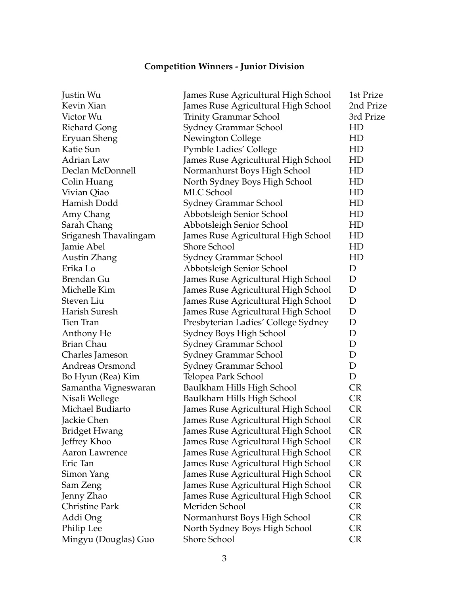## **Competition Winners - Junior Division**

| Justin Wu             | James Ruse Agricultural High School | 1st Prize |
|-----------------------|-------------------------------------|-----------|
| Kevin Xian            | James Ruse Agricultural High School | 2nd Prize |
| Victor Wu             | <b>Trinity Grammar School</b>       | 3rd Prize |
| <b>Richard Gong</b>   | Sydney Grammar School               | HD        |
| Eryuan Sheng          | Newington College                   | HD        |
| Katie Sun             | <b>Pymble Ladies' College</b>       | HD        |
| Adrian Law            | James Ruse Agricultural High School | HD        |
| Declan McDonnell      | Normanhurst Boys High School        | HD        |
| Colin Huang           | North Sydney Boys High School       | HD        |
| Vivian Qiao           | <b>MLC</b> School                   | HD        |
| Hamish Dodd           | Sydney Grammar School               | HD        |
| Amy Chang             | Abbotsleigh Senior School           | HD        |
| Sarah Chang           | Abbotsleigh Senior School           | HD        |
| Sriganesh Thavalingam | James Ruse Agricultural High School | HD        |
| Jamie Abel            | <b>Shore School</b>                 | HD        |
| Austin Zhang          | Sydney Grammar School               | HD        |
| Erika Lo              | Abbotsleigh Senior School           | D         |
| Brendan Gu            | James Ruse Agricultural High School | D         |
| Michelle Kim          | James Ruse Agricultural High School | D         |
| Steven Liu            | James Ruse Agricultural High School | D         |
| Harish Suresh         | James Ruse Agricultural High School | D         |
| Tien Tran             | Presbyterian Ladies' College Sydney | D         |
| Anthony He            | Sydney Boys High School             | D         |
| <b>Brian Chau</b>     | Sydney Grammar School               | D         |
| Charles Jameson       | Sydney Grammar School               | D         |
| Andreas Orsmond       | Sydney Grammar School               | D         |
| Bo Hyun (Rea) Kim     | Telopea Park School                 | D         |
| Samantha Vigneswaran  | Baulkham Hills High School          | <b>CR</b> |
| Nisali Wellege        | Baulkham Hills High School          | <b>CR</b> |
| Michael Budiarto      | James Ruse Agricultural High School | <b>CR</b> |
| Jackie Chen           | James Ruse Agricultural High School | <b>CR</b> |
| <b>Bridget Hwang</b>  | James Ruse Agricultural High School | <b>CR</b> |
| Jeffrey Khoo          | James Ruse Agricultural High School | <b>CR</b> |
| Aaron Lawrence        | James Ruse Agricultural High School | <b>CR</b> |
| Eric Tan              | James Ruse Agricultural High School | <b>CR</b> |
| Simon Yang            | James Ruse Agricultural High School | <b>CR</b> |
| Sam Zeng              | James Ruse Agricultural High School | <b>CR</b> |
| Jenny Zhao            | James Ruse Agricultural High School | <b>CR</b> |
| <b>Christine Park</b> | Meriden School                      | <b>CR</b> |
| Addi Ong              | Normanhurst Boys High School        | <b>CR</b> |
| Philip Lee            | North Sydney Boys High School       | <b>CR</b> |
| Mingyu (Douglas) Guo  | Shore School                        | <b>CR</b> |